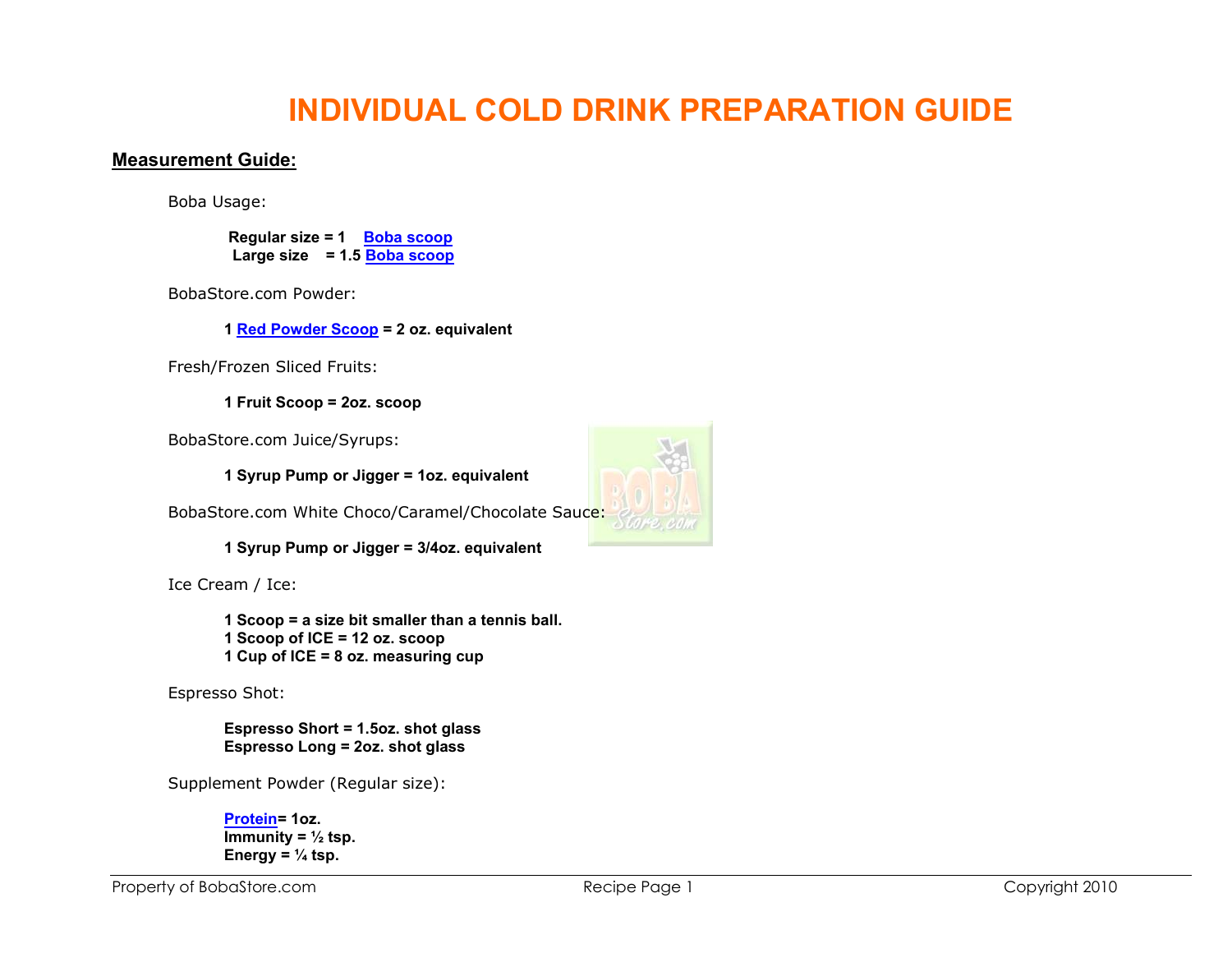# **INDIVIDUAL COLD DRINK PREPARATION GUIDE**

#### **Measurement Guide:**

Boba Usage:

**Regular size = 1 Boba scoop Large size = 1.5 Boba scoop**

BobaStore.com Powder:

**1 Red Powder Scoop = 2 oz. equivalent**

Fresh/Frozen Sliced Fruits:

**1 Fruit Scoop = 2oz. scoop**

BobaStore.com Juice/Syrups:

**1 Syrup Pump or Jigger = 1oz. equivalent** 

BobaStore.com White Choco/Caramel/Chocolate Sauce:

**1 Syrup Pump or Jigger = 3/4oz. equivalent** 

Ice Cream / Ice:

**1 Scoop = a size bit smaller than a tennis ball. 1 Scoop of ICE = 12 oz. scoop 1 Cup of ICE = 8 oz. measuring cup** 

Espresso Shot:

**Espresso Short = 1.5oz. shot glass Espresso Long = 2oz. shot glass** 

Supplement Powder (Regular size):

**Protein= 1oz. Immunity = ½ tsp. Energy = ¼ tsp.** 



Property of BobaStore.com **Recipe Page 1** Copyright 2010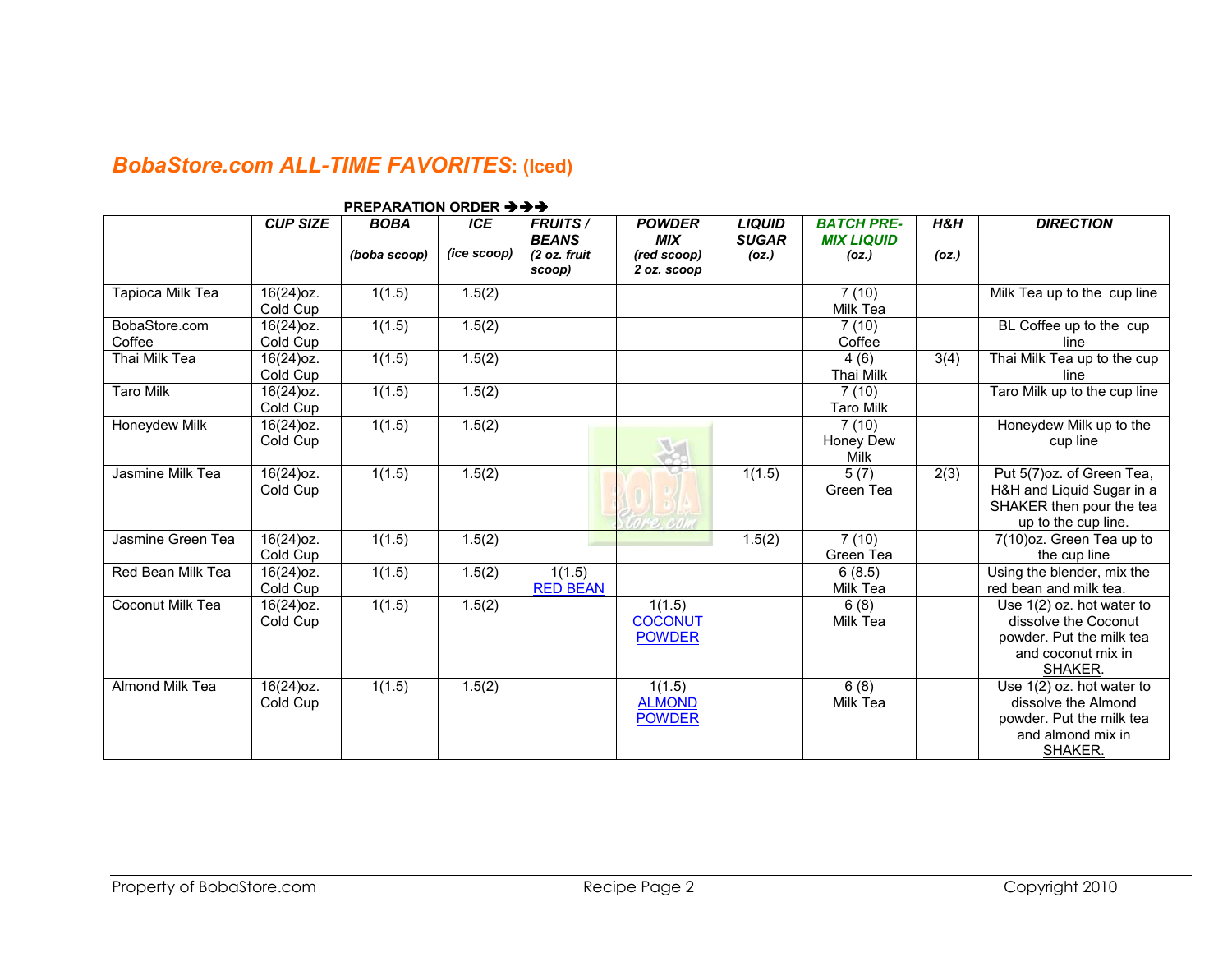### *BobaStore.com ALL-TIME FAVORITES***: (Iced)**

|                         | <b>CUP SIZE</b>          | <b>BOBA</b><br>(boba scoop) | <b>ICE</b><br>(ice scoop) | <b>FRUITS /</b><br><b>BEANS</b><br>(2 oz. fruit | <b>POWDER</b><br><b>MIX</b><br>(red scoop) | <b>LIQUID</b><br><b>SUGAR</b><br>(oz.) | <b>BATCH PRE-</b><br><b>MIX LIQUID</b><br>(oz.) | H&H<br>(oz.) | <b>DIRECTION</b>                                                                                               |
|-------------------------|--------------------------|-----------------------------|---------------------------|-------------------------------------------------|--------------------------------------------|----------------------------------------|-------------------------------------------------|--------------|----------------------------------------------------------------------------------------------------------------|
|                         |                          |                             |                           | scoop)                                          | 2 oz. scoop                                |                                        |                                                 |              |                                                                                                                |
| Tapioca Milk Tea        | 16(24) oz.<br>Cold Cup   | 1(1.5)                      | 1.5(2)                    |                                                 |                                            |                                        | 7(10)<br>Milk Tea                               |              | Milk Tea up to the cup line                                                                                    |
| BobaStore.com<br>Coffee | 16(24) oz.<br>Cold Cup   | 1(1.5)                      | 1.5(2)                    |                                                 |                                            |                                        | 7(10)<br>Coffee                                 |              | BL Coffee up to the cup<br>line                                                                                |
| Thai Milk Tea           | 16(24) oz.<br>Cold Cup   | 1(1.5)                      | 1.5(2)                    |                                                 |                                            |                                        | 4(6)<br>Thai Milk                               | 3(4)         | Thai Milk Tea up to the cup<br>line                                                                            |
| Taro Milk               | $16(24)$ oz.<br>Cold Cup | 1(1.5)                      | 1.5(2)                    |                                                 |                                            |                                        | 7(10)<br><b>Taro Milk</b>                       |              | Taro Milk up to the cup line                                                                                   |
| Honeydew Milk           | 16(24) oz.<br>Cold Cup   | 1(1.5)                      | 1.5(2)                    |                                                 | $\mathcal{L}_{\mathcal{A}}$                |                                        | 7(10)<br>Honey Dew<br>Milk                      |              | Honeydew Milk up to the<br>cup line                                                                            |
| Jasmine Milk Tea        | $16(24)$ oz.<br>Cold Cup | 1(1.5)                      | 1.5(2)                    |                                                 |                                            | 1(1.5)                                 | 5(7)<br>Green Tea                               | 2(3)         | Put 5(7) oz. of Green Tea,<br>H&H and Liquid Sugar in a<br>SHAKER then pour the tea<br>up to the cup line.     |
| Jasmine Green Tea       | $16(24)$ oz.<br>Cold Cup | 1(1.5)                      | 1.5(2)                    |                                                 |                                            | 1.5(2)                                 | 7(10)<br>Green Tea                              |              | 7(10) oz. Green Tea up to<br>the cup line                                                                      |
| Red Bean Milk Tea       | 16(24) oz.<br>Cold Cup   | 1(1.5)                      | 1.5(2)                    | 1(1.5)<br><b>RED BEAN</b>                       |                                            |                                        | 6(8.5)<br>Milk Tea                              |              | Using the blender, mix the<br>red bean and milk tea.                                                           |
| Coconut Milk Tea        | $16(24)$ oz.<br>Cold Cup | 1(1.5)                      | 1.5(2)                    |                                                 | 1(1.5)<br><b>COCONUT</b><br><b>POWDER</b>  |                                        | 6(8)<br>Milk Tea                                |              | Use 1(2) oz. hot water to<br>dissolve the Coconut<br>powder. Put the milk tea<br>and coconut mix in<br>SHAKER. |
| <b>Almond Milk Tea</b>  | 16(24) oz.<br>Cold Cup   | 1(1.5)                      | 1.5(2)                    |                                                 | 1(1.5)<br><b>ALMOND</b><br><b>POWDER</b>   |                                        | 6(8)<br>Milk Tea                                |              | Use $1(2)$ oz. hot water to<br>dissolve the Almond<br>powder. Put the milk tea<br>and almond mix in<br>SHAKER. |

#### **PREPARATION ORDER**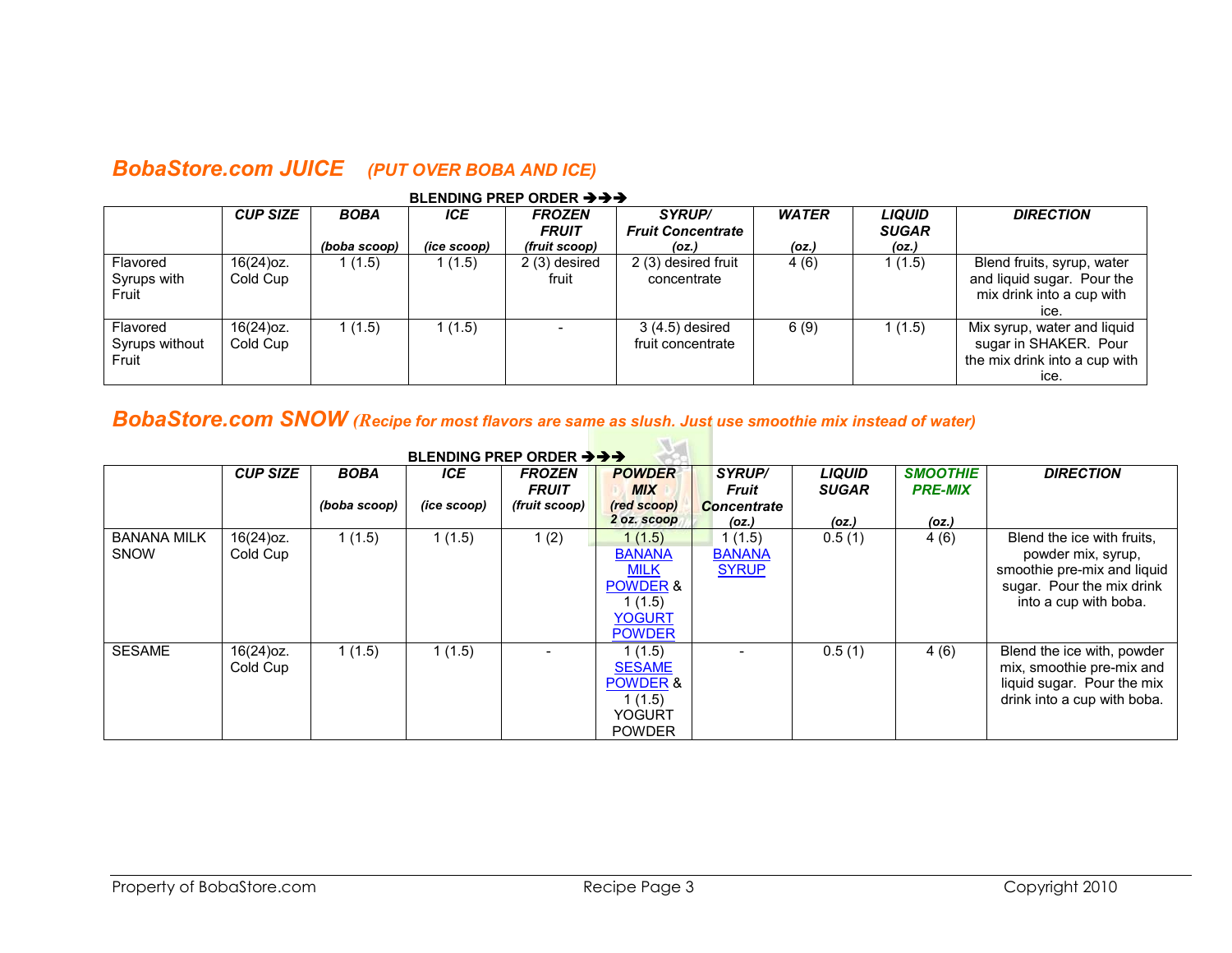### *BobaStore.com JUICE (PUT OVER BOBA AND ICE)*

|                                     | BLENDING PREP ORDER $\rightarrow \rightarrow$ |                             |                    |                                                |                                                    |                       |                                        |                                                                                               |  |  |  |  |  |
|-------------------------------------|-----------------------------------------------|-----------------------------|--------------------|------------------------------------------------|----------------------------------------------------|-----------------------|----------------------------------------|-----------------------------------------------------------------------------------------------|--|--|--|--|--|
|                                     | <b>CUP SIZE</b>                               | <b>BOBA</b><br>(boba scoop) | ICE<br>(ice scoop) | <b>FROZEN</b><br><b>FRUIT</b><br>(fruit scoop) | <b>SYRUP/</b><br><b>Fruit Concentrate</b><br>(oz.) | <b>WATER</b><br>(oz.) | <b>LIQUID</b><br><b>SUGAR</b><br>(oz.) | <b>DIRECTION</b>                                                                              |  |  |  |  |  |
| Flavored<br>Syrups with<br>Fruit    | $16(24)$ oz.<br>Cold Cup                      | 1(1.5)                      | 1(1.5)             | 2 (3) desired<br>fruit                         | 2 (3) desired fruit<br>concentrate                 | 4(6)                  | 1 (1.5)                                | Blend fruits, syrup, water<br>and liquid sugar. Pour the<br>mix drink into a cup with<br>ice. |  |  |  |  |  |
| Flavored<br>Syrups without<br>Fruit | $16(24)$ oz.<br>Cold Cup                      | 1(1.5)                      | 1(1.5)             |                                                | 3 (4.5) desired<br>fruit concentrate               | 6(9)                  | 1(1.5)                                 | Mix syrup, water and liquid<br>sugar in SHAKER. Pour<br>the mix drink into a cup with<br>ice. |  |  |  |  |  |

#### **BLENDING PREP ORDER**

# *BobaStore.com SNOW (Recipe for most flavors are same as slush. Just use smoothie mix instead of water)*

|                                   | <b>CUP SIZE</b>          | <b>BOBA</b>  | <b>ICE</b>  | <b>FROZEN</b><br><b>FRUIT</b> | <b>POWDER</b><br><b>MIX</b>                                                                        | SYRUP/<br><b>Fruit</b>                  | <b>LIQUID</b><br><b>SUGAR</b> | <b>SMOOTHIE</b><br><b>PRE-MIX</b> | <b>DIRECTION</b>                                                                                                                      |
|-----------------------------------|--------------------------|--------------|-------------|-------------------------------|----------------------------------------------------------------------------------------------------|-----------------------------------------|-------------------------------|-----------------------------------|---------------------------------------------------------------------------------------------------------------------------------------|
|                                   |                          | (boba scoop) | (ice scoop) | (fruit scoop)                 | (red scoop)<br>2 oz. scoop                                                                         | <b>Concentrate</b><br>(oz.)             | (oz.)                         | (oz.)                             |                                                                                                                                       |
| <b>BANANA MILK</b><br><b>SNOW</b> | $16(24)$ oz.<br>Cold Cup | 1(1.5)       | 1(1.5)      | (2)                           | 1(1.5)<br><b>BANANA</b><br><b>MILK</b><br><b>POWDER &amp;</b><br>1(1.5)<br>YOGURT<br><b>POWDER</b> | 1(1.5)<br><b>BANANA</b><br><b>SYRUP</b> | 0.5(1)                        | 4(6)                              | Blend the ice with fruits,<br>powder mix, syrup,<br>smoothie pre-mix and liquid<br>sugar. Pour the mix drink<br>into a cup with boba. |
| <b>SESAME</b>                     | $16(24)$ oz.<br>Cold Cup | 1(1.5)       | 1(1.5)      |                               | 1(1.5)<br><b>SESAME</b><br><b>POWDER &amp;</b><br>1(1.5)<br><b>YOGURT</b><br><b>POWDER</b>         |                                         | 0.5(1)                        | 4(6)                              | Blend the ice with, powder<br>mix, smoothie pre-mix and<br>liquid sugar. Pour the mix<br>drink into a cup with boba.                  |

# **BLENDING PREP ORDER AAA**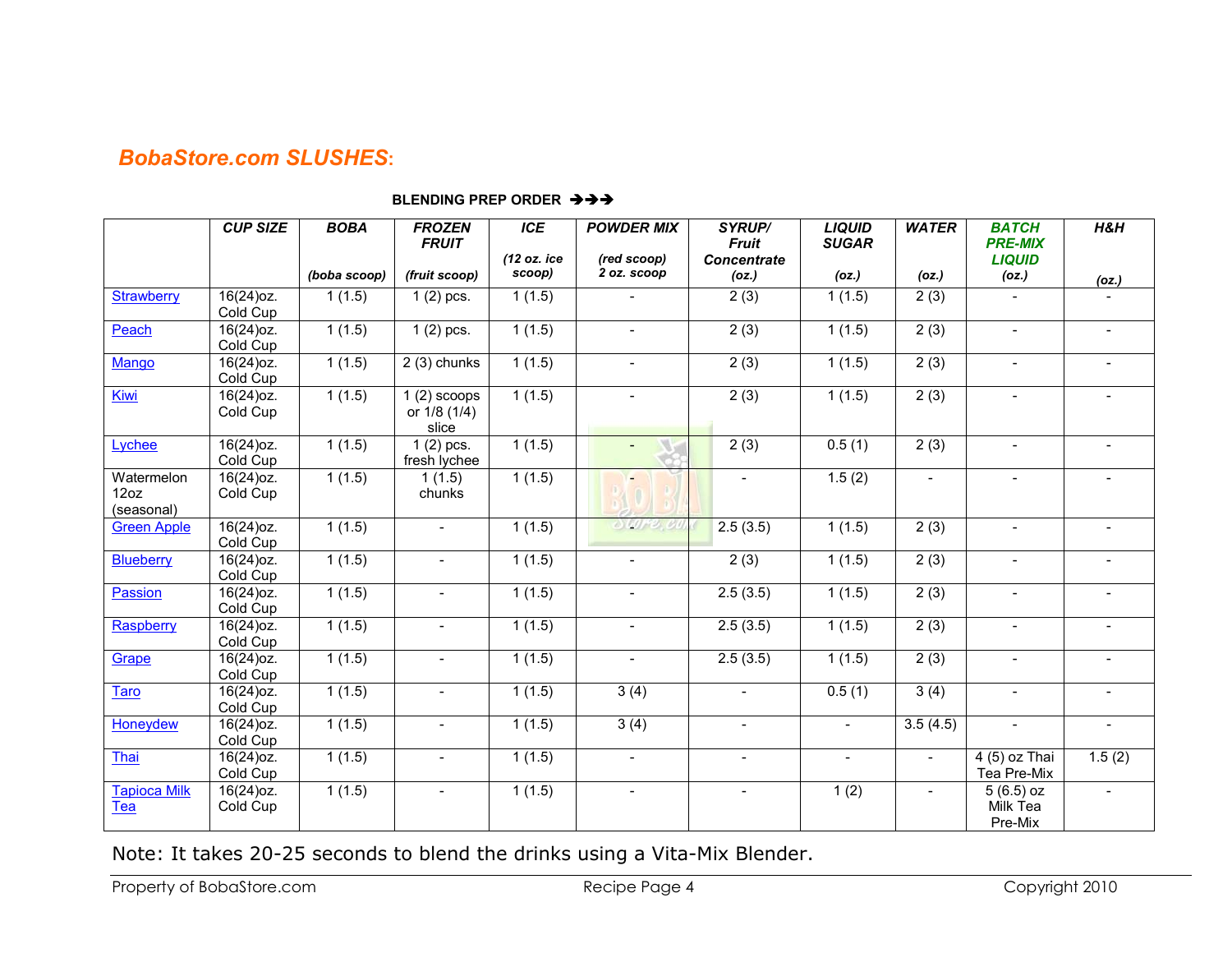### *BobaStore.com SLUSHES***:**

|                                  | <b>CUP SIZE</b>          | <b>BOBA</b>  | <b>FROZEN</b><br><b>FRUIT</b>                     | <b>ICE</b>  | <b>POWDER MIX</b>        | SYRUP/<br><b>Fruit</b>   | <b>LIQUID</b><br><b>SUGAR</b> | <b>WATER</b>             | <b>BATCH</b><br><b>PRE-MIX</b>     | $H\&H$         |
|----------------------------------|--------------------------|--------------|---------------------------------------------------|-------------|--------------------------|--------------------------|-------------------------------|--------------------------|------------------------------------|----------------|
|                                  |                          |              |                                                   | (12 oz. ice | (red scoop)              | <b>Concentrate</b>       |                               |                          | <b>LIQUID</b>                      |                |
|                                  |                          | (boba scoop) | (fruit scoop)                                     | scoop)      | 2 oz. scoop              | (oz.)                    | (oz.)                         | (oz.)                    | (oz.)                              | (oz.)          |
| <b>Strawberry</b>                | $16(24)$ oz.<br>Cold Cup | 1(1.5)       | $1(2)$ pcs.                                       | 1(1.5)      |                          | 2(3)                     | 1(1.5)                        | 2(3)                     |                                    |                |
| Peach                            | $16(24)$ oz.<br>Cold Cup | 1(1.5)       | $1(2)$ pcs.                                       | 1(1.5)      | $\blacksquare$           | 2(3)                     | 1(1.5)                        | 2(3)                     | $\overline{\phantom{0}}$           |                |
| Mango                            | $16(24)$ oz.<br>Cold Cup | 1(1.5)       | $2(3)$ chunks                                     | 1(1.5)      | $\sim$                   | 2(3)                     | 1(1.5)                        | 2(3)                     | $\blacksquare$                     |                |
| Kiwi                             | $16(24)$ oz.<br>Cold Cup | 1(1.5)       | $\overline{1(2)}$ scoops<br>or 1/8 (1/4)<br>slice | 1(1.5)      | $\blacksquare$           | 2(3)                     | 1(1.5)                        | 2(3)                     | $\blacksquare$                     |                |
| Lychee                           | $16(24)$ oz.<br>Cold Cup | 1(1.5)       | $1(2)$ pcs.<br>fresh lychee                       | 1(1.5)      |                          | 2(3)                     | 0.5(1)                        | 2(3)                     | $\overline{\phantom{0}}$           |                |
| Watermelon<br>12oz<br>(seasonal) | $16(24)$ oz.<br>Cold Cup | 1(1.5)       | 1(1.5)<br>chunks                                  | 1(1.5)      |                          | $\overline{a}$           | 1.5(2)                        | $\overline{\phantom{a}}$ | $\blacksquare$                     |                |
| <b>Green Apple</b>               | $16(24)$ oz.<br>Cold Cup | 1(1.5)       | $\blacksquare$                                    | 1(1.5)      | $O(0r^2, 0)$             | 2.5(3.5)                 | 1(1.5)                        | 2(3)                     | $\overline{a}$                     |                |
| <b>Blueberry</b>                 | $16(24)$ oz.<br>Cold Cup | 1(1.5)       | $\blacksquare$                                    | 1(1.5)      | $\blacksquare$           | 2(3)                     | 1(1.5)                        | 2(3)                     | $\overline{\phantom{0}}$           |                |
| Passion                          | $16(24)$ oz.<br>Cold Cup | 1(1.5)       | $\blacksquare$                                    | 1(1.5)      | $\blacksquare$           | 2.5(3.5)                 | 1(1.5)                        | 2(3)                     | $\blacksquare$                     | $\sim$         |
| Raspberry                        | $16(24)$ oz.<br>Cold Cup | 1(1.5)       | $\sim$                                            | 1(1.5)      | $\overline{\phantom{a}}$ | 2.5(3.5)                 | 1(1.5)                        | 2(3)                     | $\blacksquare$                     |                |
| Grape                            | $16(24)$ oz.<br>Cold Cup | 1(1.5)       | $\blacksquare$                                    | 1(1.5)      | $\overline{\phantom{a}}$ | 2.5(3.5)                 | 1(1.5)                        | 2(3)                     | $\blacksquare$                     |                |
| Taro                             | 16(24) oz.<br>Cold Cup   | 1(1.5)       |                                                   | 1(1.5)      | 3(4)                     | $\blacksquare$           | 0.5(1)                        | 3(4)                     | $\overline{\phantom{0}}$           |                |
| Honeydew                         | 16(24) oz.<br>Cold Cup   | 1(1.5)       | $\overline{a}$                                    | 1(1.5)      | 3(4)                     | $\blacksquare$           | $\overline{\phantom{a}}$      | 3.5(4.5)                 | $\blacksquare$                     | $\overline{a}$ |
| Thai                             | $16(24)$ oz.<br>Cold Cup | 1(1.5)       |                                                   | 1(1.5)      |                          | $\overline{\phantom{a}}$ |                               |                          | $4(5)$ oz Thai<br>Tea Pre-Mix      | 1.5(2)         |
| <b>Tapioca Milk</b><br>Tea       | 16(24) oz.<br>Cold Cup   | 1(1.5)       |                                                   | 1(1.5)      | $\blacksquare$           | $\blacksquare$           | 1(2)                          |                          | $5(6.5)$ oz<br>Milk Tea<br>Pre-Mix |                |

#### **BLENDING PREP ORDER**

Note: It takes 20-25 seconds to blend the drinks using a Vita-Mix Blender.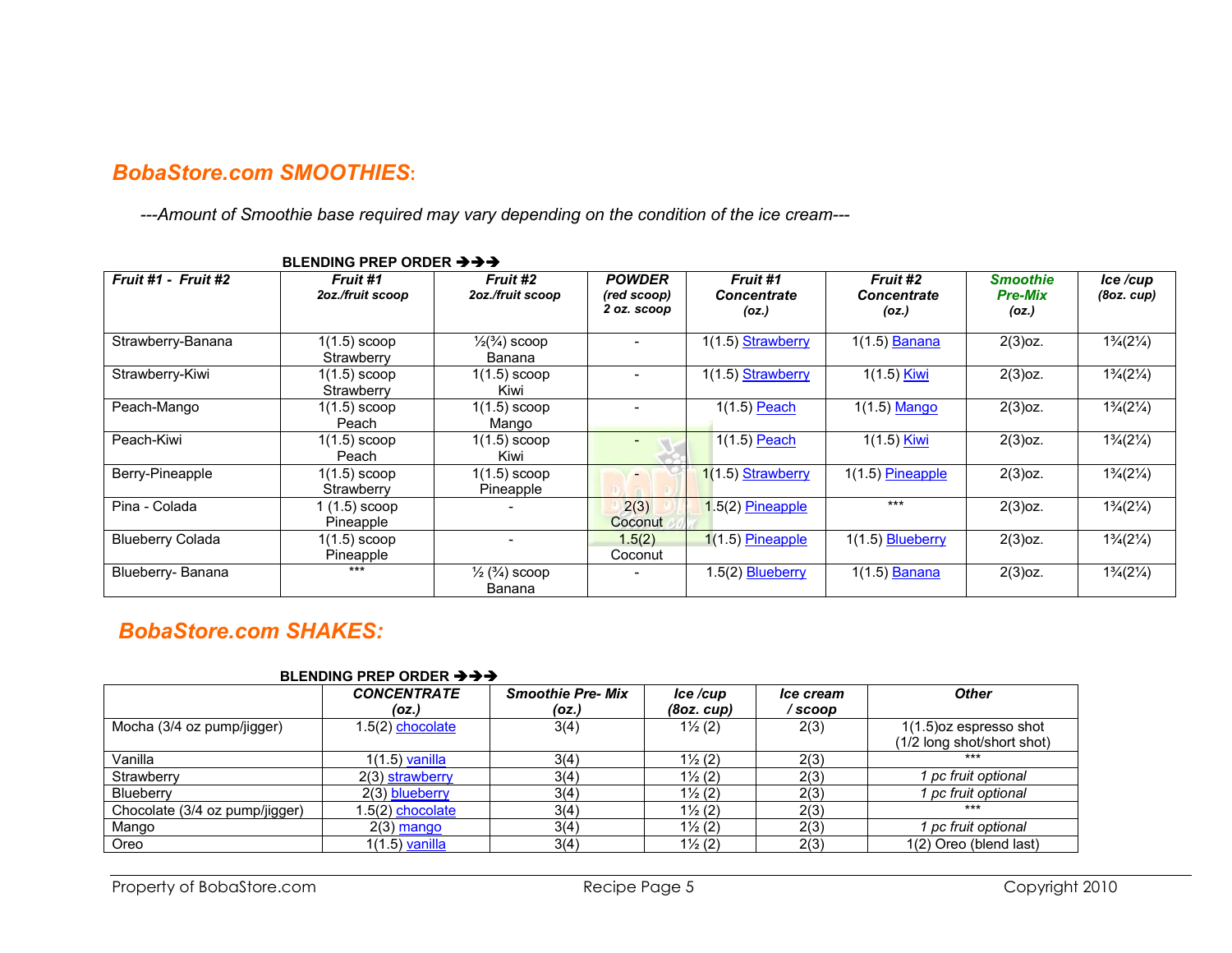### *BobaStore.com SMOOTHIES***:**

*---Amount of Smoothie base required may vary depending on the condition of the ice cream---* 

| BLENDING PREP ORDER ラララ |                                     |                                                 |                                             |                                         |                                         |                                            |                              |  |  |  |  |
|-------------------------|-------------------------------------|-------------------------------------------------|---------------------------------------------|-----------------------------------------|-----------------------------------------|--------------------------------------------|------------------------------|--|--|--|--|
| Fruit #1 - Fruit #2     | <b>Fruit #1</b><br>2oz./fruit scoop | <b>Fruit #2</b><br>2oz./fruit scoop             | <b>POWDER</b><br>(red scoop)<br>2 oz. scoop | Fruit #1<br><b>Concentrate</b><br>(oz.) | Fruit #2<br><b>Concentrate</b><br>(oz.) | <b>Smoothie</b><br><b>Pre-Mix</b><br>(oz.) | Ice/cup<br>(8oz.cup)         |  |  |  |  |
| Strawberry-Banana       | $1(1.5)$ scoop<br>Strawberry        | $\frac{1}{2}$ ( $\frac{3}{4}$ ) scoop<br>Banana |                                             | 1(1.5) Strawberry                       | 1(1.5) Banana                           | $2(3)$ oz.                                 | $1\frac{3}{4}(2\frac{1}{4})$ |  |  |  |  |
| Strawberry-Kiwi         | $1(1.5)$ scoop<br>Strawberry        | $1(1.5)$ scoop<br>Kiwi                          |                                             | 1(1.5) Strawberry                       | 1(1.5) Kiwi                             | $2(3)$ oz.                                 | $1\frac{3}{4}(2\frac{1}{4})$ |  |  |  |  |
| Peach-Mango             | $1(1.5)$ scoop<br>Peach             | $1(1.5)$ scoop<br>Mango                         |                                             | 1(1.5) Peach                            | 1(1.5) <b>Mango</b>                     | $2(3)$ oz.                                 | $1\frac{3}{4}(2\frac{1}{4})$ |  |  |  |  |
| Peach-Kiwi              | $1(1.5)$ scoop<br>Peach             | $1(1.5)$ scoop<br>Kiwi                          |                                             | 1(1.5) Peach                            | 1(1.5) Kiwi                             | $2(3)$ oz.                                 | $1\frac{3}{4}(2\frac{1}{4})$ |  |  |  |  |
| Berry-Pineapple         | $1(1.5)$ scoop<br>Strawberry        | $1(1.5)$ scoop<br>Pineapple                     |                                             | 1(1.5) Strawberry                       | 1(1.5) Pineapple                        | $2(3)$ oz.                                 | $1\frac{3}{4}(2\frac{1}{4})$ |  |  |  |  |
| Pina - Colada           | $1(1.5)$ scoop<br>Pineapple         |                                                 | 2(3)<br>Coconut                             | 1.5(2) Pineapple                        | $***$                                   | $2(3)$ oz.                                 | $1\frac{3}{4}(2\frac{1}{4})$ |  |  |  |  |
| <b>Blueberry Colada</b> | $1(1.5)$ scoop<br>Pineapple         |                                                 | 1.5(2)<br>Coconut                           | 1(1.5) Pineapple                        | 1(1.5) Blueberry                        | $2(3)$ oz.                                 | $1\frac{3}{4}(2\frac{1}{4})$ |  |  |  |  |
| Blueberry-Banana        | $***$                               | $\frac{1}{2}$ ( $\frac{3}{4}$ ) scoop<br>Banana |                                             | 1.5(2) Blueberry                        | 1(1.5) Banana                           | $2(3)$ oz.                                 | $1\frac{3}{4}(2\frac{1}{4})$ |  |  |  |  |

#### **BLENDING PREP ORDER**

### *BobaStore.com SHAKES:*

#### **BLENDING PREP ORDER**

|                                | <b>CONCENTRATE</b> | <b>Smoothie Pre- Mix</b> | Ice/cup            | <i><b>Ice cream</b></i> | <b>Other</b>               |
|--------------------------------|--------------------|--------------------------|--------------------|-------------------------|----------------------------|
|                                | (oz.)              | (oz.)                    | (8oz, cup)         | / scoop                 |                            |
| Mocha (3/4 oz pump/jigger)     | 1.5(2) chocolate   | 3(4)                     | $1\frac{1}{2}$ (2) | 2(3)                    | $1(1.5)$ oz espresso shot  |
|                                |                    |                          |                    |                         | (1/2 long shot/short shot) |
| Vanilla                        | 1(1.5) vanilla     | 3(4)                     | $1\frac{1}{2}$ (2) | 2(3)                    | ***                        |
| Strawberry                     | 2(3) strawberry    | 3(4)                     | $1\frac{1}{2}$ (2) | 2(3)                    | 1 pc fruit optional        |
| Blueberry                      | 2(3) blueberry     | 3(4)                     | $1\frac{1}{2}$ (2) | 2(3)                    | 1 pc fruit optional        |
| Chocolate (3/4 oz pump/jigger) | 1.5(2) chocolate   | 3(4)                     | $1\frac{1}{2}$ (2) | 2(3)                    | $***$                      |
| Mango                          | 2(3) <u>mango</u>  | 3(4)                     | $1\frac{1}{2}$ (2) | 2(3)                    | 1 pc fruit optional        |
| Oreo                           | 1(1.5) vanilla     | 3(4)                     | $1\frac{1}{2}$ (2) | 2(3)                    | 1(2) Oreo (blend last)     |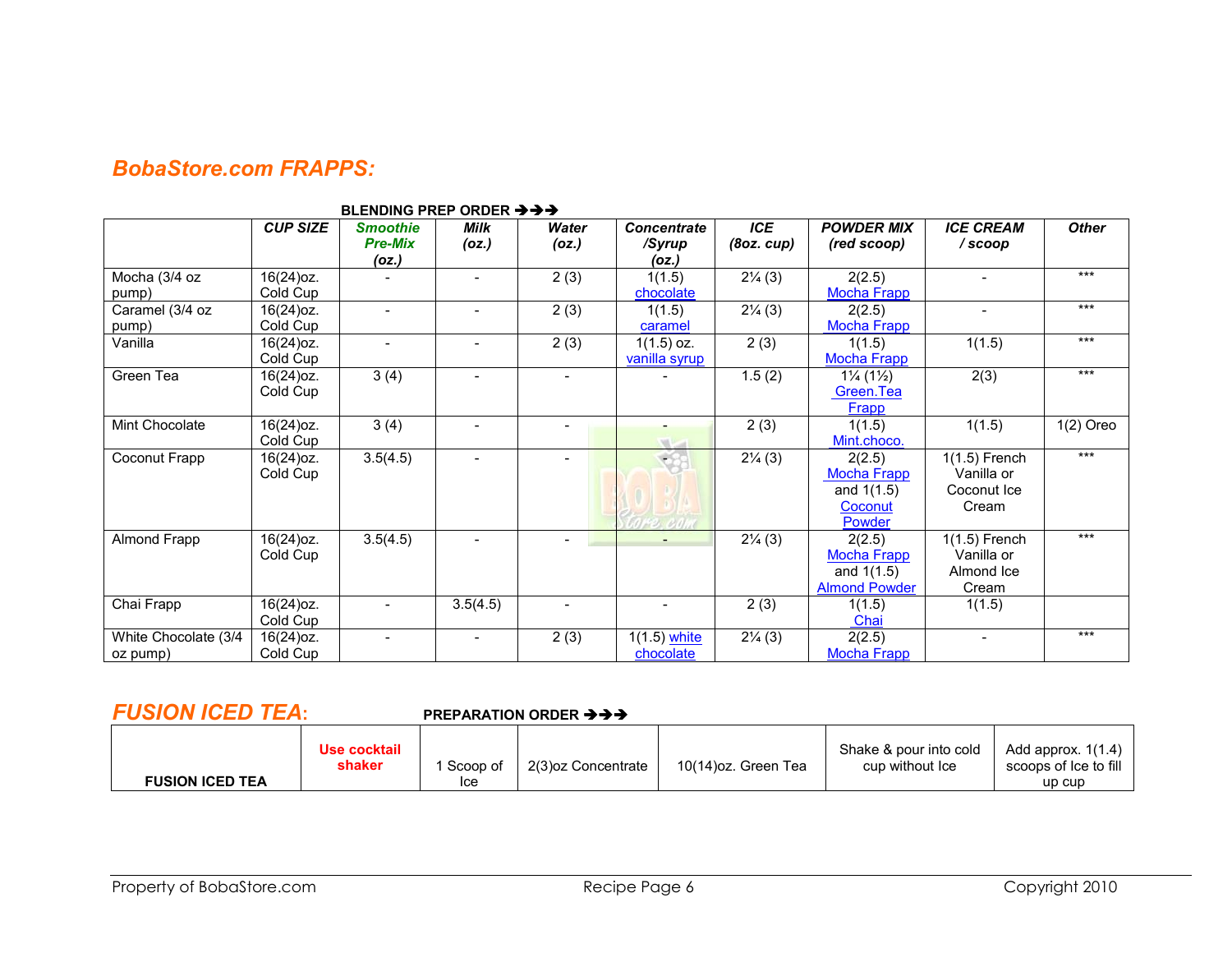### *BobaStore.com FRAPPS:*

|                      | <b>CUP SIZE</b> | <b>Smoothie</b> | <b>Milk</b>    | Water                    | <b>Concentrate</b> | <b>ICE</b>         | <b>POWDER MIX</b>                 | <b>ICE CREAM</b>         | <b>Other</b> |
|----------------------|-----------------|-----------------|----------------|--------------------------|--------------------|--------------------|-----------------------------------|--------------------------|--------------|
|                      |                 | <b>Pre-Mix</b>  | (oz.)          | (oz.)                    | /Syrup             | (8oz, cup)         | (red scoop)                       | /scoop                   |              |
|                      |                 | (oz.)           |                |                          | (oz.)              |                    |                                   |                          |              |
| Mocha (3/4 oz        | 16(24) oz.      |                 |                | 2(3)                     | 1(1.5)             | $2\frac{1}{4}$ (3) | 2(2.5)                            | $\overline{\phantom{0}}$ | $***$        |
| pump)                | Cold Cup        |                 |                |                          | chocolate          |                    | <b>Mocha Frapp</b>                |                          |              |
| Caramel (3/4 oz      | 16(24) oz.      |                 |                | 2(3)                     | 1(1.5)             | $2\frac{1}{4}(3)$  | 2(2.5)                            | $\overline{\phantom{a}}$ | $***$        |
| pump)                | Cold Cup        |                 |                |                          | caramel            |                    | <b>Mocha Frapp</b>                |                          |              |
| Vanilla              | $16(24)$ oz.    |                 |                | 2(3)                     | $1(1.5)$ oz.       | 2(3)               | 1(1.5)                            | 1(1.5)                   | $***$        |
|                      | Cold Cup        |                 |                |                          | vanilla syrup      |                    | <b>Mocha Frapp</b>                |                          |              |
| Green Tea            | 16(24) oz.      | 3(4)            |                | $\overline{\phantom{0}}$ |                    | 1.5(2)             | $1\frac{1}{4}$ (1 $\frac{1}{2}$ ) | 2(3)                     | $***$        |
|                      | Cold Cup        |                 |                |                          |                    |                    | Green.Tea                         |                          |              |
|                      |                 |                 |                |                          |                    |                    | Frapp                             |                          |              |
| Mint Chocolate       | 16(24) oz.      | 3(4)            |                |                          |                    | 2(3)               | 1(1.5)                            | 1(1.5)                   | $1(2)$ Oreo  |
|                      | Cold Cup        |                 |                |                          | <b>All Card</b>    |                    | Mint.choco.                       |                          |              |
| Coconut Frapp        | $16(24)$ oz.    | 3.5(4.5)        |                | $\overline{\phantom{0}}$ | $\bigtriangledown$ | $2\frac{1}{4}(3)$  | 2(2.5)                            | $1(1.5)$ French          | $***$        |
|                      | Cold Cup        |                 |                |                          |                    |                    | <b>Mocha Frapp</b>                | Vanilla or               |              |
|                      |                 |                 |                |                          |                    |                    | and $1(1.5)$                      | Coconut Ice              |              |
|                      |                 |                 |                |                          |                    |                    | Coconut                           | Cream                    |              |
|                      |                 |                 |                |                          |                    |                    | Powder                            |                          |              |
| Almond Frapp         | 16(24) oz.      | 3.5(4.5)        |                |                          |                    | $2\frac{1}{4}(3)$  | 2(2.5)                            | $1(1.5)$ French          | $***$        |
|                      | Cold Cup        |                 |                |                          |                    |                    | <b>Mocha Frapp</b>                | Vanilla or               |              |
|                      |                 |                 |                |                          |                    |                    | and $1(1.5)$                      | Almond Ice               |              |
|                      |                 |                 |                |                          |                    |                    | <b>Almond Powder</b>              | Cream                    |              |
| Chai Frapp           | 16(24) oz.      |                 | 3.5(4.5)       | $\overline{\phantom{0}}$ | $\blacksquare$     | 2(3)               | 1(1.5)                            | 1(1.5)                   |              |
|                      | Cold Cup        |                 |                |                          |                    |                    | Chai                              |                          |              |
| White Chocolate (3/4 | $16(24)$ oz.    |                 | $\blacksquare$ | 2(3)                     | $1(1.5)$ white     | $2\frac{1}{4}(3)$  | 2(2.5)                            | $\sim$                   | $***$        |
| oz pump)             | Cold Cup        |                 |                |                          | chocolate          |                    | <b>Mocha Frapp</b>                |                          |              |

#### **BLENDING PREP ORDER**  $\rightarrow \rightarrow$

### *FUSION ICED TEA***:**

#### **PREPARATION ORDER**

|                        | Use cocktail<br>shaker | Scoop of | 2(3) oz Concentrate | 10(14)oz. Green Tea | Shake & pour into cold<br>cup without Ice | Add approx. $1(1.4)$<br>scoops of Ice to fill |
|------------------------|------------------------|----------|---------------------|---------------------|-------------------------------------------|-----------------------------------------------|
| <b>FUSION ICED TEA</b> |                        | Ice      |                     |                     |                                           | up cup                                        |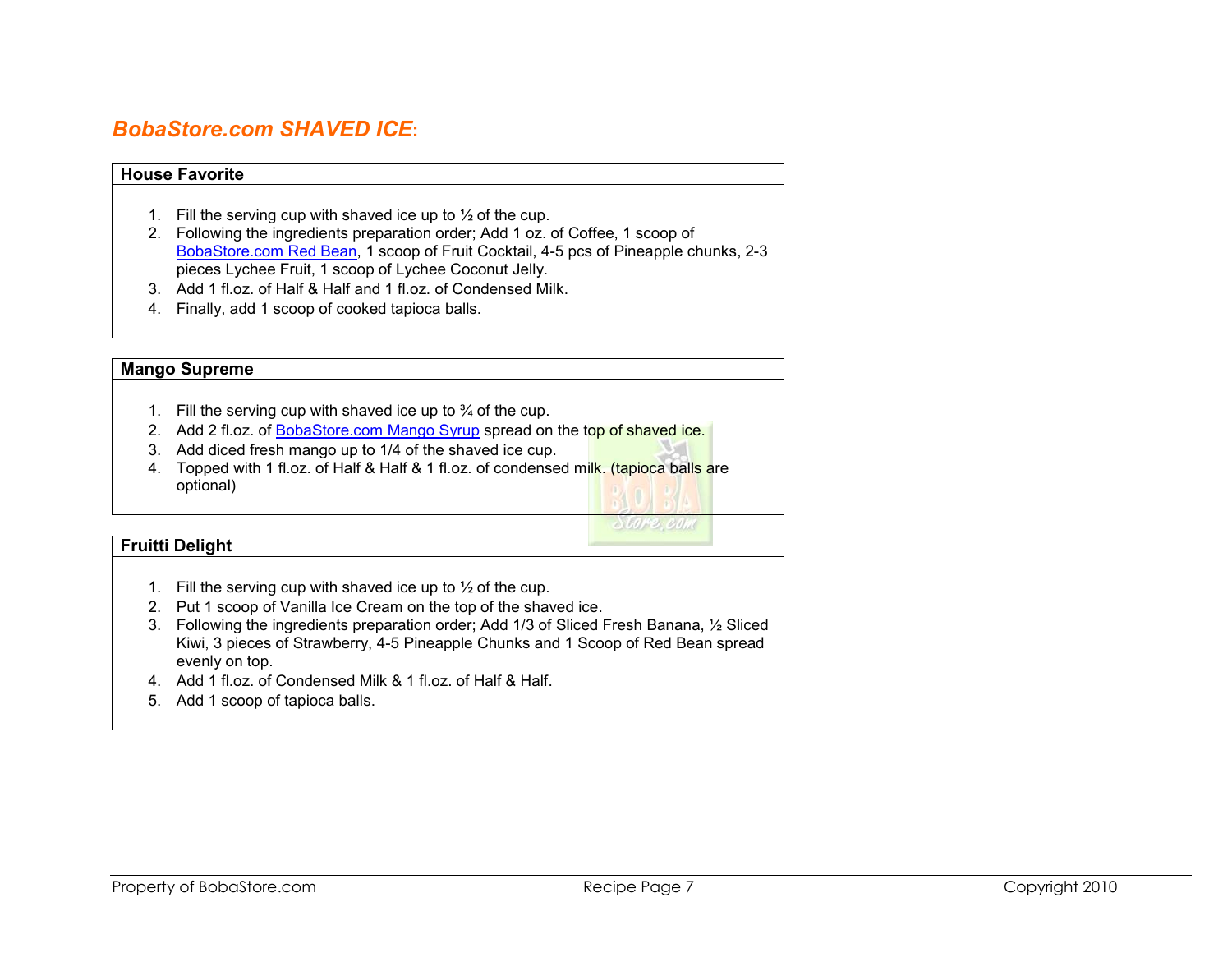### *BobaStore.com SHAVED ICE***:**

#### **House Favorite**

- 1. Fill the serving cup with shaved ice up to  $\frac{1}{2}$  of the cup.
- 2. Following the ingredients preparation order; Add 1 oz. of Coffee, 1 scoop of BobaStore.com Red Bean, 1 scoop of Fruit Cocktail, 4-5 pcs of Pineapple chunks, 2-3 pieces Lychee Fruit, 1 scoop of Lychee Coconut Jelly.
- 3. Add 1 fl.oz. of Half & Half and 1 fl.oz. of Condensed Milk.
- 4. Finally, add 1 scoop of cooked tapioca balls.

#### **Mango Supreme**

- 1. Fill the serving cup with shaved ice up to  $\frac{3}{4}$  of the cup.
- 2. Add 2 fl.oz. of **BobaStore.com Mango Syrup** spread on the top of shaved ice.
- 3. Add diced fresh mango up to 1/4 of the shaved ice cup.
- 4. Topped with 1 fl.oz. of Half & Half & 1 fl.oz. of condensed mi<mark>lk. (tapioca balls a</mark>re optional)

#### **Fruitti Delight**

- 1. Fill the serving cup with shaved ice up to  $\frac{1}{2}$  of the cup.
- 2. Put 1 scoop of Vanilla Ice Cream on the top of the shaved ice.
- 3. Following the ingredients preparation order; Add 1/3 of Sliced Fresh Banana, ½ Sliced Kiwi, 3 pieces of Strawberry, 4-5 Pineapple Chunks and 1 Scoop of Red Bean spread evenly on top.
- 4. Add 1 fl.oz. of Condensed Milk & 1 fl.oz. of Half & Half.
- 5. Add 1 scoop of tapioca balls.

Store, com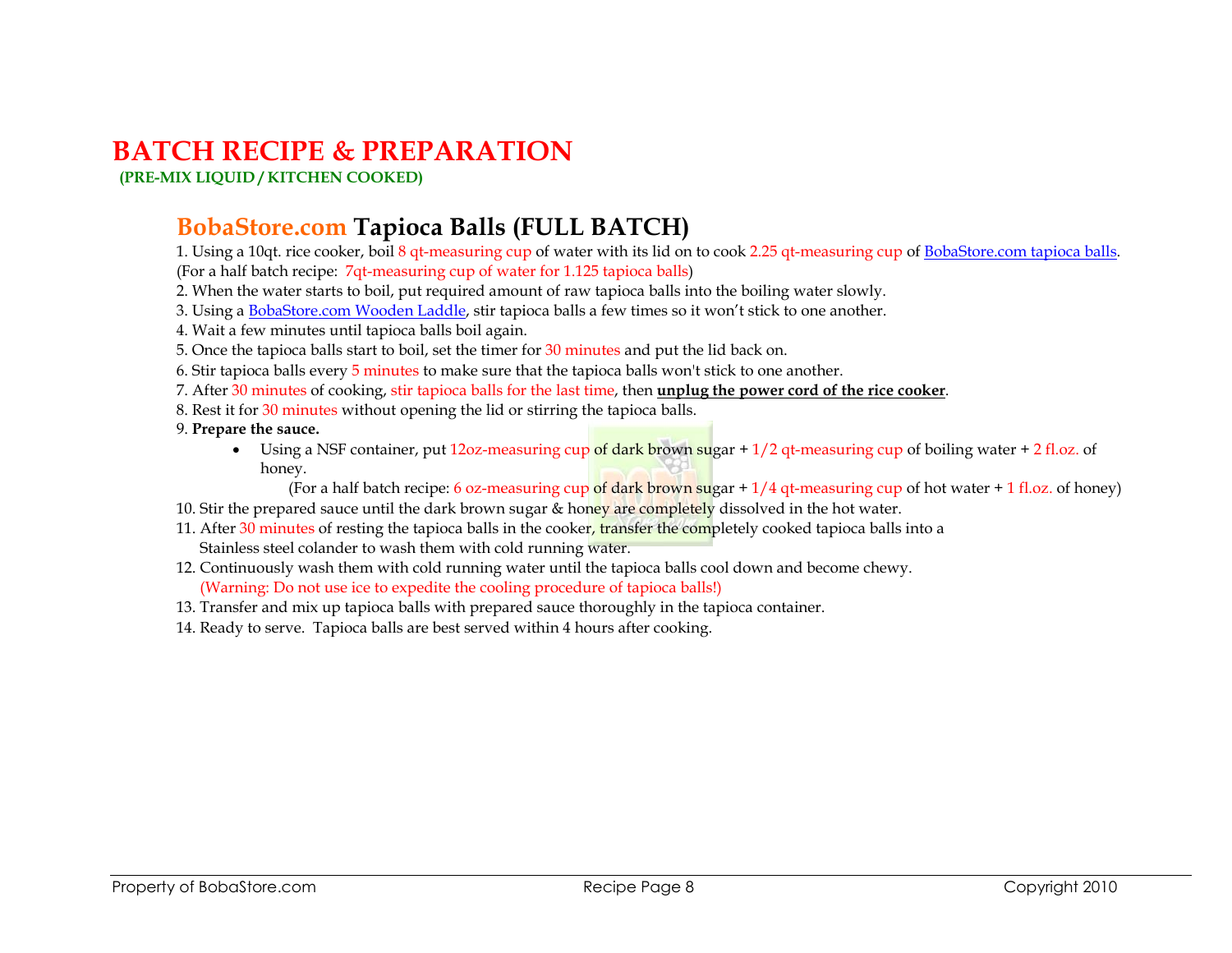# **BATCH RECIPE & PREPARATION**

**(PRE-MIX LIQUID / KITCHEN COOKED)**

## **BobaStore.com Tapioca Balls (FULL BATCH)**

1. Using a 10qt. rice cooker, boil 8 qt-measuring cup of water with its lid on to cook 2.25 qt-measuring cup of BobaStore.com tapioca balls. (For a half batch recipe: 7qt-measuring cup of water for 1.125 tapioca balls)

2. When the water starts to boil, put required amount of raw tapioca balls into the boiling water slowly.

3. Using a BobaStore.com Wooden Laddle, stir tapioca balls a few times so it won't stick to one another.

4. Wait a few minutes until tapioca balls boil again.

5. Once the tapioca balls start to boil, set the timer for 30 minutes and put the lid back on.

6. Stir tapioca balls every 5 minutes to make sure that the tapioca balls won't stick to one another.

7. After 30 minutes of cooking, stir tapioca balls for the last time, then **unplug the power cord of the rice cooker**.

8. Rest it for 30 minutes without opening the lid or stirring the tapioca balls.

#### 9. **Prepare the sauce.**

• Using a NSF container, put 12oz-measuring cup <mark>of dark b</mark>rown sugar + 1/2 qt-measuring cup of boiling water + 2 fl.oz. of honey.

(For a half batch recipe: 6 oz-measuring cup of dark brown sugar  $+1/4$  qt-measuring cup of hot water  $+1$  fl.oz. of honey)

- 10. Stir the prepared sauce until the dark brown sugar & honey are completely dissolved in the hot water.
- 11. After 30 minutes of resting the tapioca balls in the cooker, transfer the completely cooked tapioca balls into a Stainless steel colander to wash them with cold running water.
- 12. Continuously wash them with cold running water until the tapioca balls cool down and become chewy. (Warning: Do not use ice to expedite the cooling procedure of tapioca balls!)
- 13. Transfer and mix up tapioca balls with prepared sauce thoroughly in the tapioca container.
- 14. Ready to serve. Tapioca balls are best served within 4 hours after cooking.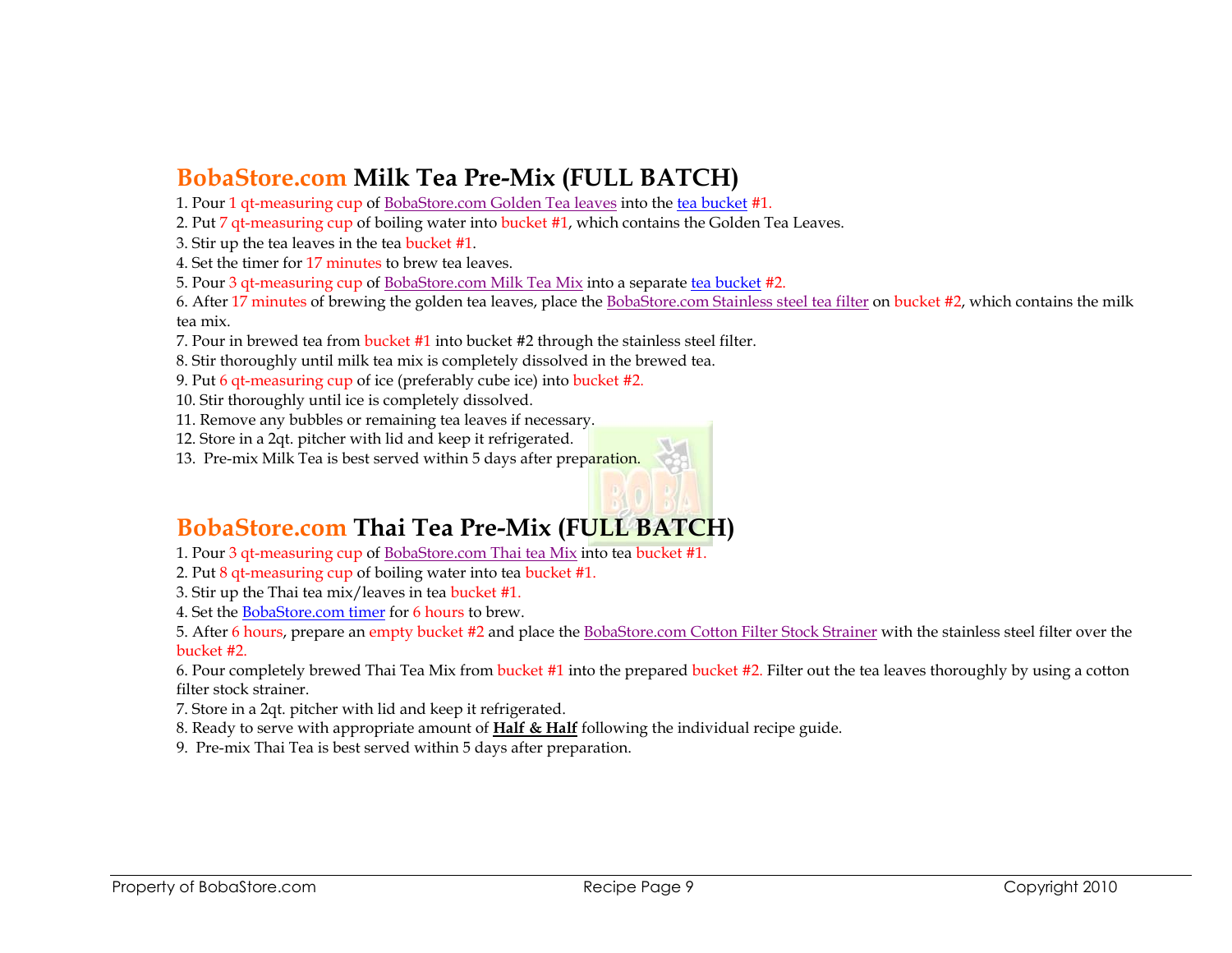# **BobaStore.com Milk Tea Pre-Mix (FULL BATCH)**

1. Pour 1 qt-measuring cup of BobaStore.com Golden Tea leaves into the tea bucket #1.

- 2. Put 7 qt-measuring cup of boiling water into bucket #1, which contains the Golden Tea Leaves.
- 3. Stir up the tea leaves in the tea bucket #1.
- 4. Set the timer for 17 minutes to brew tea leaves.
- 5. Pour 3 qt-measuring cup of BobaStore.com Milk Tea Mix into a separate tea bucket #2.
- 6. After 17 minutes of brewing the golden tea leaves, place the BobaStore.com Stainless steel tea filter on bucket #2, which contains the milk tea mix.
- 7. Pour in brewed tea from bucket #1 into bucket #2 through the stainless steel filter.
- 8. Stir thoroughly until milk tea mix is completely dissolved in the brewed tea.
- 9. Put 6 qt-measuring cup of ice (preferably cube ice) into bucket #2.
- 10. Stir thoroughly until ice is completely dissolved.
- 11. Remove any bubbles or remaining tea leaves if necessary.
- 12. Store in a 2qt. pitcher with lid and keep it refrigerated.
- 13. Pre-mix Milk Tea is best served within 5 days after preparation.

## **BobaStore.com Thai Tea Pre-Mix (FULL BATCH)**

- 1. Pour 3 qt-measuring cup of BobaStore.com Thai tea Mix into tea bucket #1.
- 2. Put 8 qt-measuring cup of boiling water into tea bucket #1.
- 3. Stir up the Thai tea mix/leaves in tea bucket #1.
- 4. Set the BobaStore.com timer for 6 hours to brew.

5. After 6 hours, prepare an empty bucket #2 and place the BobaStore.com Cotton Filter Stock Strainer with the stainless steel filter over the bucket #2.

6. Pour completely brewed Thai Tea Mix from bucket #1 into the prepared bucket #2. Filter out the tea leaves thoroughly by using a cotton filter stock strainer.

7. Store in a 2qt. pitcher with lid and keep it refrigerated.

- 8. Ready to serve with appropriate amount of **Half & Half** following the individual recipe guide.
- 9. Pre-mix Thai Tea is best served within 5 days after preparation.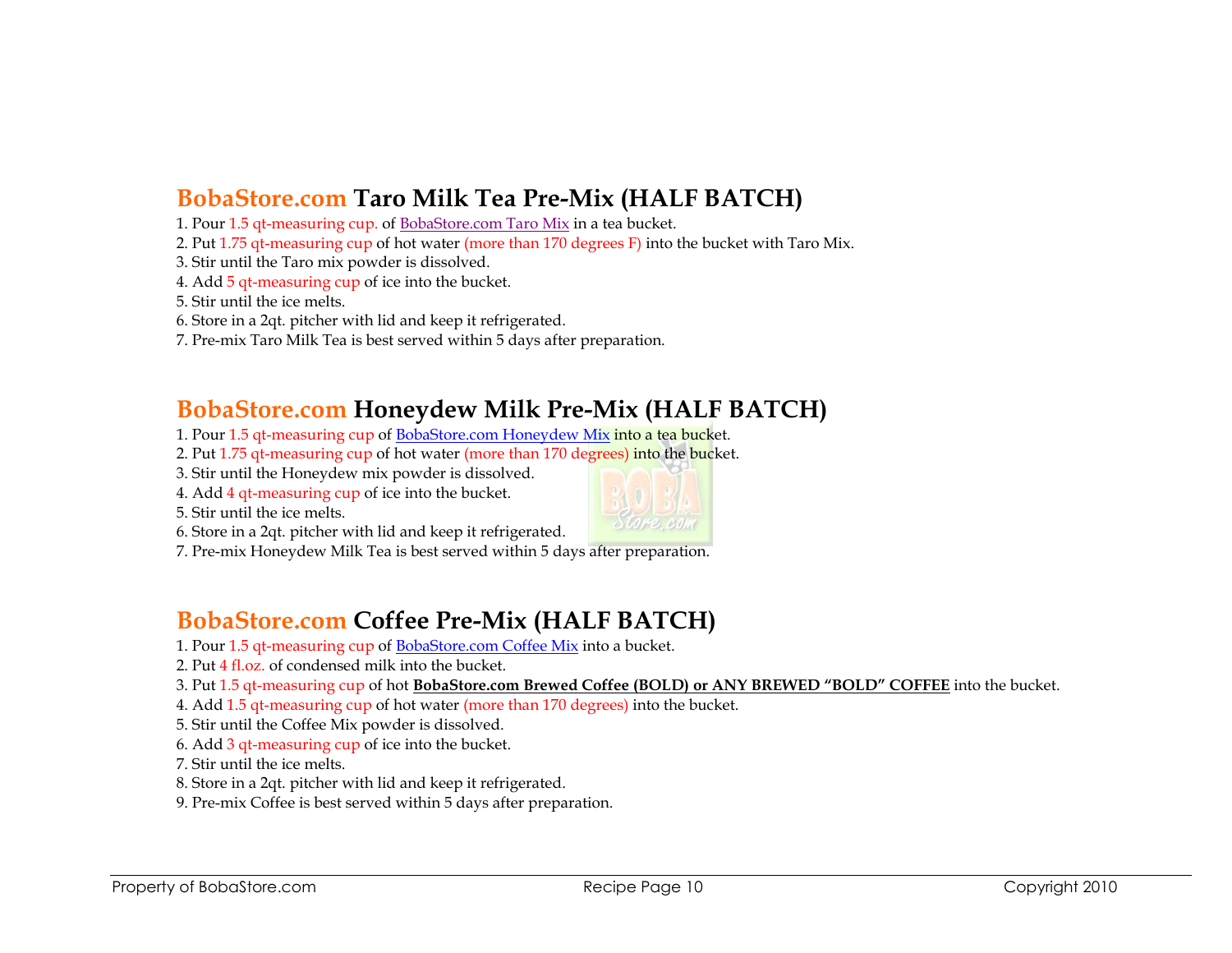# **BobaStore.com Taro Milk Tea Pre-Mix (HALF BATCH)**

- 1. Pour 1.5 qt-measuring cup. of BobaStore.com Taro Mix in a tea bucket.
- 2. Put 1.75 qt-measuring cup of hot water (more than 170 degrees  $\overline{F}$ ) into the bucket with Taro Mix.
- 3. Stir until the Taro mix powder is dissolved.
- 4. Add 5 qt-measuring cup of ice into the bucket.
- 5. Stir until the ice melts.
- 6. Store in a 2qt. pitcher with lid and keep it refrigerated.
- 7. Pre-mix Taro Milk Tea is best served within 5 days after preparation.

### **BobaStore.com Honeydew Milk Pre-Mix (HALF BATCH)**

- 1. Pour 1.5 qt-measuring cup of BobaStore.com Honeydew Mix into a tea bucket.
- 2. Put 1.75 qt-measuring cup of hot water (more than 170 degrees) into the bucket.
- 3. Stir until the Honeydew mix powder is dissolved.
- 4. Add 4 qt-measuring cup of ice into the bucket.
- 5. Stir until the ice melts.
- 6. Store in a 2qt. pitcher with lid and keep it refrigerated.
- 7. Pre-mix Honeydew Milk Tea is best served within 5 days after preparation.

# **BobaStore.com Coffee Pre-Mix (HALF BATCH)**

- 1. Pour 1.5 qt-measuring cup of BobaStore.com Coffee Mix into a bucket.
- 2. Put 4 fl.oz. of condensed milk into the bucket.
- 3. Put 1.5 qt-measuring cup of hot **BobaStore.com Brewed Coffee (BOLD) or ANY BREWED "BOLD" COFFEE** into the bucket.
- 4. Add 1.5 qt-measuring cup of hot water (more than 170 degrees) into the bucket.
- 5. Stir until the Coffee Mix powder is dissolved.
- 6. Add 3 qt-measuring cup of ice into the bucket.
- 7. Stir until the ice melts.
- 8. Store in a 2qt. pitcher with lid and keep it refrigerated.
- 9. Pre-mix Coffee is best served within 5 days after preparation.